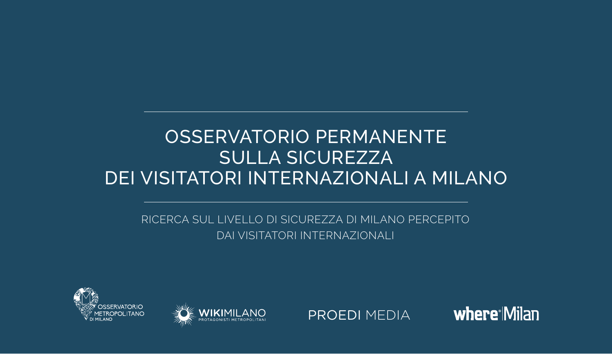# OSSERVATORIO PERMANENTE SULLA SICUREZZA DEI VISITATORI INTERNAZIONALI A MILANO

RICERCA SUL LIVELLO DI SICUREZZA DI MILANO PERCEPITO DAI VISITATORI INTERNAZIONALI







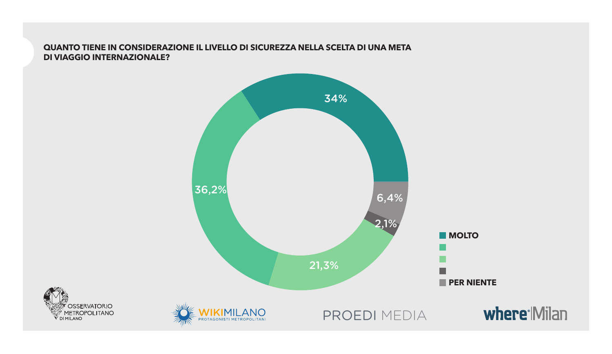### **QUANTO TIENE IN CONSIDERAZIONE IL LIVELLO DI SICUREZZA NELLA SCELTA DI UNA META DI VIAGGIO INTERNAZIONALE?**

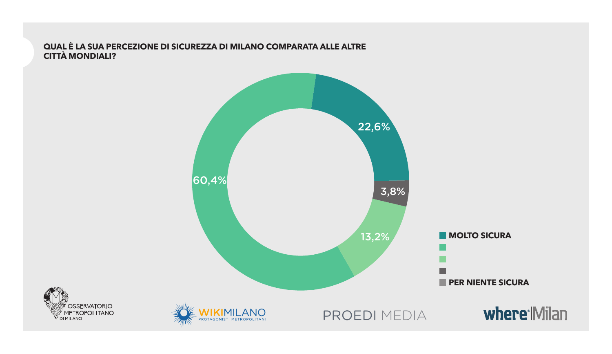#### QUAL È LA SUA PERCEZIONE DI SICUREZZA DI MILANO COMPARATA ALLE ALTRE **CITTÀ MONDIALI?**

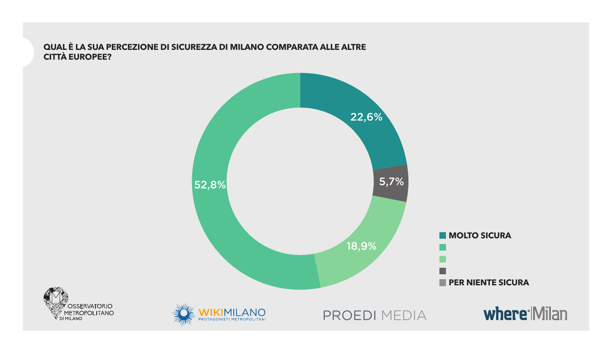#### QUAL È LA SUA PERCEZIONE DI SICUREZZA DI MILANO COMPARATA ALLE ALTRE **CITTÀ EUROPEE?**

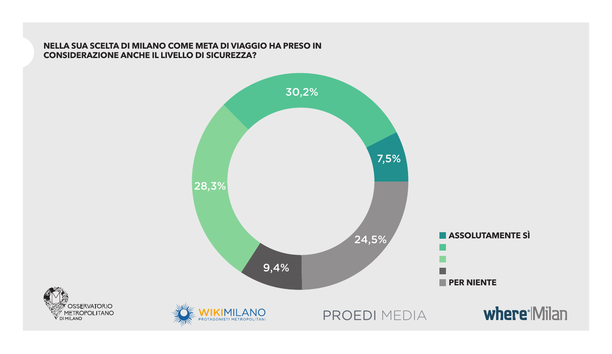#### **NELLA SUA SCELTA DI MILANO COME META DI VIAGGIO HA PRESO IN CONSIDERAZIONE ANCHE IL LIVELLO DI SICUREZZA?**

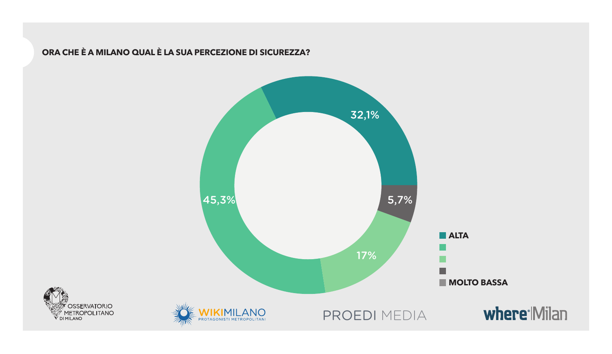## ORA CHE È A MILANO QUAL È LA SUA PERCEZIONE DI SICUREZZA?